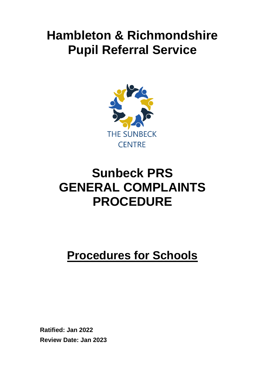# **Hambleton & Richmondshire Pupil Referral Service**



# **Sunbeck PRS GENERAL COMPLAINTS PROCEDURE**

# **Procedures for Schools**

**Ratified: Jan 2022 Review Date: Jan 2023**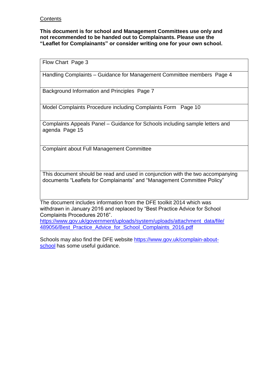#### **Contents**

**This document is for school and Management Committees use only and not recommended to be handed out to Complainants. Please use the "Leaflet for Complainants" or consider writing one for your own school.**

Flow Chart Page 3

Handling Complaints – Guidance for Management Committee members Page 4

Background Information and Principles Page 7

Model Complaints Procedure including Complaints Form Page 10

Complaints Appeals Panel – Guidance for Schools including sample letters and agenda Page 15

Complaint about Full Management Committee

This document should be read and used in conjunction with the two accompanying documents "Leaflets for Complainants" and "Management Committee Policy"

The document includes information from the DFE toolkit 2014 which was withdrawn in January 2016 and replaced by "Best Practice Advice for School Complaints Procedures 2016".

[https://www.gov.uk/government/uploads/system/uploads/attachment\\_data/file/](https://www.gov.uk/government/uploads/system/uploads/attachment_data/file/489056/Best_Practice_Advice_for_School_Complaints_2016.pdf) [489056/Best\\_Practice\\_Advice\\_for\\_School\\_Complaints\\_2016.pdf](https://www.gov.uk/government/uploads/system/uploads/attachment_data/file/489056/Best_Practice_Advice_for_School_Complaints_2016.pdf)

Schools may also find the DFE website [https://www.gov.uk/complain-about](https://www.gov.uk/complain-about-school)[school](https://www.gov.uk/complain-about-school) has some useful guidance.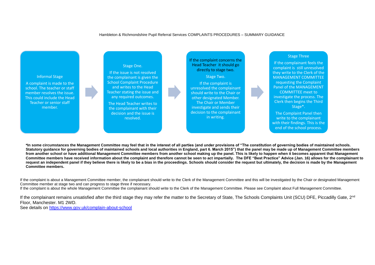## Hambleton & Richmondshire Pupil Referral Services COMPLAINTS PROCEDURES – SUMMARY GUIDANCE

**\*In some circumstances the Management Committee may feel that in the interest of all parties (and under provisions of "The constitution of governing bodies of maintained schools. Statutory guidance for governing bodies of maintained schools and local authorities in England, part 6. March 2015") that the panel may be made up of Management Committee members from another school or have additional Management Committee members from another school making up the panel. This is likely to happen when it becomes apparent that Management Committee members have received information about the complaint and therefore cannot be seen to act impartially. The DFE "Best Practice" Advice (Jan. 16) allows for the complainant to request an independent panel if they believe there is likely to be a bias in the proceedings. Schools should consider the request but ultimately, the decision is made by the Management Committee members.**

If the complaint is about a Management Committee member, the complainant should write to the Clerk of the Management Committee and this will be investigated by the Chair or designated Management Committee member at stage two and can progress to stage three if necessary. If the complaint is about the whole Management Committee the complainant should write to the Clerk of the Management Committee. Please see Complaint about Full Management Committee.

If the complainant remains unsatisfied after the third stage they may refer the matter to the Secretary of State, The Schools Complaints Unit (SCU) DFE, Piccadilly Gate, 2<sup>nd</sup> Floor, Manchester. M1 2WD.

See details on<https://www.gov.uk/complain-about-school>



### Stage Three

If the complainant feels the complaint is still unresolved they write to the Clerk of the MANAGEMENT COMMITTEE requesting the Complaint Panel of the MANAGEMENT COMMITTEE meet to investigate the process. The Clerk then begins the Third Stage\*.

The Complaint Panel then write to the complainant with their findings. This is the end of the school process.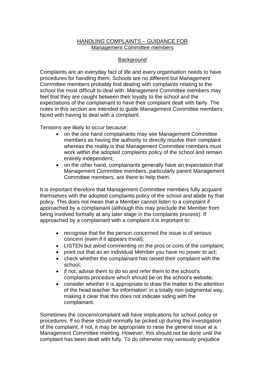#### HANDLING COMPLAINTS – GUIDANCE FOR Management Committee members

#### Background

Complaints are an everyday fact of life and every organisation needs to have procedures for handling them. Schools are no different but Management Committee members probably find dealing with complaints relating to the school the most difficult to deal with. Management Committee members may feel that they are caught between their loyalty to the school and the expectations of the complainant to have their complaint dealt with fairly. The notes in this section are intended to guide Management Committee members faced with having to deal with a complaint.

Tensions are likely to occur because:

- on the one hand complainants may see Management Committee members as having the authority to directly resolve their complaint whereas the reality is that Management Committee members must work within the adopted complaints policy of the school and remain entirely independent;
- on the other hand, complainants generally have an expectation that Management Committee members, particularly parent Management Committee members, are there to help them.

It is important therefore that Management Committee members fully acquaint themselves with the adopted complaints policy of the school and abide by that policy. This does not mean that a Member cannot listen to a complaint if approached by a complainant (although this may preclude the Member from being involved formally at any later stage in the complaints process). If approached by a complainant with a complaint it is important to:

- recognise that for the person concerned the issue is of serious concern (even if it appears trivial);
- LISTEN but avoid commenting on the pros or cons of the complaint;
- point out that as an individual Member you have no power to act;
- check whether the complainant has raised their complaint with the school;
- if not, advise them to do so and refer them to the school's complaints procedure which should be on the school's website;
- consider whether it is appropriate to draw the matter to the attention of the head teacher 'for information' in a totally non-judgmental way, making it clear that this does not indicate siding with the complainant.

Sometimes the concern/complaint will have implications for school policy or procedures. If so these should normally be picked up during the investigation of the complaint, if not, it may be appropriate to raise the general issue at a Management Committee meeting. However, this should not be done until the complaint has been dealt with fully. To do otherwise may seriously prejudice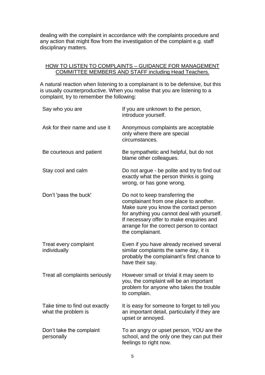dealing with the complaint in accordance with the complaints procedure and any action that might flow from the investigation of the complaint e.g. staff disciplinary matters.

### HOW TO LISTEN TO COMPLAINTS - GUIDANCE FOR MANAGEMENT COMMITTEE MEMBERS AND STAFF including Head Teachers.

A natural reaction when listening to a complainant is to be defensive, but this is usually counterproductive. When you realise that you are listening to a complaint, try to remember the following:

| Say who you are                                      | If you are unknown to the person,<br>introduce yourself.                                                                                                                                                                                                                       |
|------------------------------------------------------|--------------------------------------------------------------------------------------------------------------------------------------------------------------------------------------------------------------------------------------------------------------------------------|
| Ask for their name and use it                        | Anonymous complaints are acceptable<br>only where there are special<br>circumstances.                                                                                                                                                                                          |
| Be courteous and patient                             | Be sympathetic and helpful, but do not<br>blame other colleagues.                                                                                                                                                                                                              |
| Stay cool and calm                                   | Do not argue - be polite and try to find out<br>exactly what the person thinks is going<br>wrong, or has gone wrong.                                                                                                                                                           |
| Don't 'pass the buck'                                | Do not to keep transferring the<br>complainant from one place to another.<br>Make sure you know the contact person<br>for anything you cannot deal with yourself.<br>If necessary offer to make enquiries and<br>arrange for the correct person to contact<br>the complainant. |
| Treat every complaint<br>individually                | Even if you have already received several<br>similar complaints the same day, it is<br>probably the complainant's first chance to<br>have their say.                                                                                                                           |
| Treat all complaints seriously                       | However small or trivial it may seem to<br>you, the complaint will be an important<br>problem for anyone who takes the trouble<br>to complain.                                                                                                                                 |
| Take time to find out exactly<br>what the problem is | It is easy for someone to forget to tell you<br>an important detail, particularly if they are<br>upset or annoyed.                                                                                                                                                             |
| Don't take the complaint<br>personally               | To an angry or upset person, YOU are the<br>school, and the only one they can put their<br>feelings to right now.                                                                                                                                                              |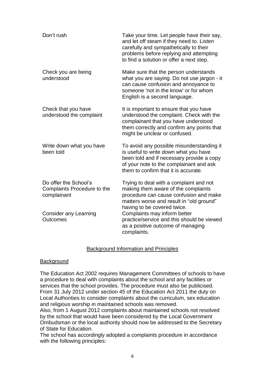| Don't rush                                                          | Take your time. Let people have their say,<br>and let off steam if they need to. Listen<br>carefully and sympathetically to their<br>problems before replying and attempting<br>to find a solution or offer a next step. |
|---------------------------------------------------------------------|--------------------------------------------------------------------------------------------------------------------------------------------------------------------------------------------------------------------------|
| Check you are being<br>understood                                   | Make sure that the person understands<br>what you are saying. Do not use jargon - it<br>can cause confusion and annoyance to<br>someone 'not in the know' or for whom<br>English is a second language.                   |
| Check that you have<br>understood the complaint                     | It is important to ensure that you have<br>understood the complaint. Check with the<br>complainant that you have understood<br>them correctly and confirm any points that<br>might be unclear or confused.               |
| Write down what you have<br>been told                               | To avoid any possible misunderstanding it<br>is useful to write down what you have<br>been told and if necessary provide a copy<br>of your note to the complainant and ask<br>them to confirm that it is accurate.       |
| Do offer the School's<br>Complaints Procedure to the<br>complainant | Trying to deal with a complaint and not<br>making them aware of the complaints<br>procedure can cause confusion and make<br>matters worse and result in "old ground"<br>having to be covered twice.                      |
| Consider any Learning<br>Outcomes                                   | Complaints may inform better<br>practice/service and this should be viewed<br>as a positive outcome of managing<br>complaints.                                                                                           |

#### Background Information and Principles

#### **Background**

The Education Act 2002 requires Management Committees of schools to have a procedure to deal with complaints about the school and any facilities or services that the school provides. The procedure must also be publicised. From 31 July 2012 under section 45 of the Education Act 2011 the duty on Local Authorities to consider complaints about the curriculum, sex education and religious worship in maintained schools was removed.

Also, from 1 August 2012 complaints about maintained schools not resolved by the school that would have been considered by the Local Government Ombudsman or the local authority should now be addressed to the Secretary of State for Education.

The school has accordingly adopted a complaints procedure in accordance with the following principles: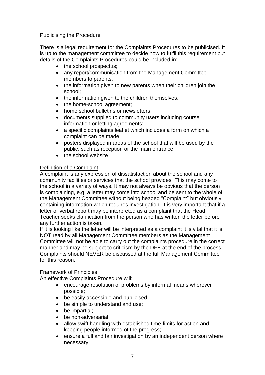## Publicising the Procedure

There is a legal requirement for the Complaints Procedures to be publicised. It is up to the management committee to decide how to fulfil this requirement but details of the Complaints Procedures could be included in:

- the school prospectus;
- any report/communication from the Management Committee members to parents;
- the information given to new parents when their children join the school;
- the information given to the children themselves;
- the home-school agreement;
- home school bulletins or newsletters:
- documents supplied to community users including course information or letting agreements;
- a specific complaints leaflet which includes a form on which a complaint can be made;
- posters displayed in areas of the school that will be used by the public, such as reception or the main entrance;
- the school website

## Definition of a Complaint

A complaint is any expression of dissatisfaction about the school and any community facilities or services that the school provides. This may come to the school in a variety of ways. It may not always be obvious that the person is complaining, e.g. a letter may come into school and be sent to the whole of the Management Committee without being headed "Complaint" but obviously containing information which requires investigation. It is very important that if a letter or verbal report may be interpreted as a complaint that the Head Teacher seeks clarification from the person who has written the letter before any further action is taken.

If it is looking like the letter will be interpreted as a complaint it is vital that it is NOT read by all Management Committee members as the Management Committee will not be able to carry out the complaints procedure in the correct manner and may be subject to criticism by the DFE at the end of the process. Complaints should NEVER be discussed at the full Management Committee for this reason.

## Framework of Principles

An effective Complaints Procedure will:

- encourage resolution of problems by informal means wherever possible;
- be easily accessible and publicised;
- be simple to understand and use;
- be impartial;
- be non-adversarial:
- allow swift handling with established time-limits for action and keeping people informed of the progress;
- ensure a full and fair investigation by an independent person where necessary;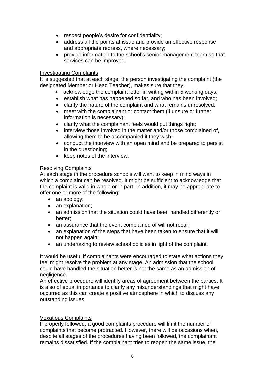- respect people's desire for confidentiality;
- address all the points at issue and provide an effective response and appropriate redress, where necessary;
- provide information to the school's senior management team so that services can be improved.

#### Investigating Complaints

It is suggested that at each stage, the person investigating the complaint (the designated Member or Head Teacher), makes sure that they:

- acknowledge the complaint letter in writing within 5 working days;
- establish what has happened so far, and who has been involved;
- clarify the nature of the complaint and what remains unresolved;
- meet with the complainant or contact them (if unsure or further information is necessary);
- clarify what the complainant feels would put things right;
- interview those involved in the matter and/or those complained of, allowing them to be accompanied if they wish;
- conduct the interview with an open mind and be prepared to persist in the questioning;
- keep notes of the interview.

#### Resolving Complaints

At each stage in the procedure schools will want to keep in mind ways in which a complaint can be resolved. It might be sufficient to acknowledge that the complaint is valid in whole or in part. In addition, it may be appropriate to offer one or more of the following:

- an apology;
- an explanation;
- an admission that the situation could have been handled differently or better;
- an assurance that the event complained of will not recur:
- an explanation of the steps that have been taken to ensure that it will not happen again;
- an undertaking to review school policies in light of the complaint.

It would be useful if complainants were encouraged to state what actions they feel might resolve the problem at any stage. An admission that the school could have handled the situation better is not the same as an admission of negligence.

An effective procedure will identify areas of agreement between the parties. It is also of equal importance to clarify any misunderstandings that might have occurred as this can create a positive atmosphere in which to discuss any outstanding issues.

#### Vexatious Complaints

If properly followed, a good complaints procedure will limit the number of complaints that become protracted. However, there will be occasions when, despite all stages of the procedures having been followed, the complainant remains dissatisfied. If the complainant tries to reopen the same issue, the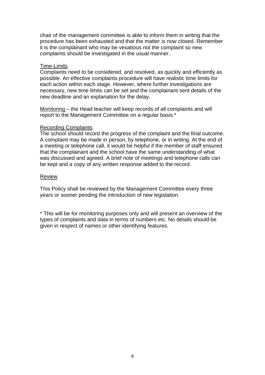chair of the management committee is able to inform them in writing that the procedure has been exhausted and that the matter is now closed. Remember it is the complainant who may be vexatious not the complaint so new complaints should be investigated in the usual manner.

#### Time-Limits

Complaints need to be considered, and resolved, as quickly and efficiently as possible. An effective complaints procedure will have realistic time limits for each action within each stage. However, where further investigations are necessary, new time limits can be set and the complainant sent details of the new deadline and an explanation for the delay.

Monitoring – the Head teacher will keep records of all complaints and will report to the Management Committee on a regular basis.\*

#### Recording Complaints

The school should record the progress of the complaint and the final outcome. A complaint may be made in person, by telephone, or in writing. At the end of a meeting or telephone call, it would be helpful if the member of staff ensured that the complainant and the school have the same understanding of what was discussed and agreed. A brief note of meetings and telephone calls can be kept and a copy of any written response added to the record.

#### Review

This Policy shall be reviewed by the Management Committee every three years or sooner pending the introduction of new legislation.

\* This will be for monitoring purposes only and will present an overview of the types of complaints and data in terms of numbers etc. No details should be given in respect of names or other identifying features.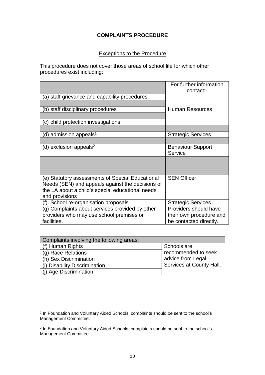# **COMPLAINTS PROCEDURE**

### Exceptions to the Procedure

This procedure does not cover those areas of school life for which other procedures exist including:

|                                                                                                                                                                            | For further information<br>contact:- |
|----------------------------------------------------------------------------------------------------------------------------------------------------------------------------|--------------------------------------|
| (a) staff grievance and capability procedures                                                                                                                              |                                      |
| (b) staff disciplinary procedures                                                                                                                                          | <b>Human Resources</b>               |
| c) child protection investigations                                                                                                                                         |                                      |
|                                                                                                                                                                            |                                      |
| (d) admission appeals <sup>1</sup>                                                                                                                                         | <b>Strategic Services</b>            |
|                                                                                                                                                                            |                                      |
| (d) exclusion appeals <sup>2</sup>                                                                                                                                         | <b>Behaviour Support</b><br>Service  |
|                                                                                                                                                                            |                                      |
| (e) Statutory assessments of Special Educational<br>Needs (SEN) and appeals against the decisions of<br>the LA about a child's special educational needs<br>and provisions | <b>SEN Officer</b>                   |
| School re-organisation proposals<br>(f)                                                                                                                                    | <b>Strategic Services</b>            |
| (g) Complaints about services provided by other                                                                                                                            | Providers should have                |
| providers who may use school premises or                                                                                                                                   | their own procedure and              |
| facilities.                                                                                                                                                                | be contacted directly.               |

| Complaints involving the following areas: |                          |
|-------------------------------------------|--------------------------|
| (f) Human Rights                          | Schools are              |
| (g) Race Relations                        | recommended to seek      |
| (h) Sex Discrimination                    | advice from Legal        |
| (i) Disability Discrimination             | Services at County Hall. |
| (j) Age Discrimination                    |                          |

l 1 In Foundation and Voluntary Aided Schools, complaints should be sent to the school's Management Committee.

<sup>2</sup> In Foundation and Voluntary Aided Schools, complaints should be sent to the school's Management Committee.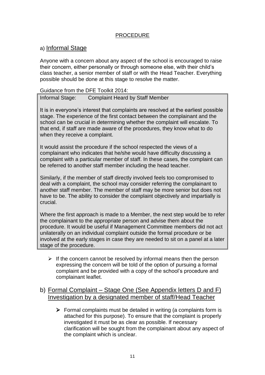## PROCEDURE

# a) Informal Stage

Anyone with a concern about any aspect of the school is encouraged to raise their concern, either personally or through someone else, with their child's class teacher, a senior member of staff or with the Head Teacher. Everything possible should be done at this stage to resolve the matter.

#### Guidance from the DFE Toolkit 2014:

Informal Stage: Complaint Heard by Staff Member

It is in everyone's interest that complaints are resolved at the earliest possible stage. The experience of the first contact between the complainant and the school can be crucial in determining whether the complaint will escalate. To that end, if staff are made aware of the procedures, they know what to do when they receive a complaint.

It would assist the procedure if the school respected the views of a complainant who indicates that he/she would have difficulty discussing a complaint with a particular member of staff. In these cases, the complaint can be referred to another staff member including the head teacher.

Similarly, if the member of staff directly involved feels too compromised to deal with a complaint, the school may consider referring the complainant to another staff member. The member of staff may be more senior but does not have to be. The ability to consider the complaint objectively and impartially is crucial.

Where the first approach is made to a Member, the next step would be to refer the complainant to the appropriate person and advise them about the procedure. It would be useful if Management Committee members did not act unilaterally on an individual complaint outside the formal procedure or be involved at the early stages in case they are needed to sit on a panel at a later stage of the procedure.

 $\triangleright$  If the concern cannot be resolved by informal means then the person expressing the concern will be told of the option of pursuing a formal complaint and be provided with a copy of the school's procedure and complainant leaflet.

# b) Formal Complaint – Stage One (See Appendix letters D and F) Investigation by a designated member of staff/Head Teacher

 $\triangleright$  Formal complaints must be detailed in writing (a complaints form is attached for this purpose). To ensure that the complaint is properly investigated it must be as clear as possible. If necessary clarification will be sought from the complainant about any aspect of the complaint which is unclear.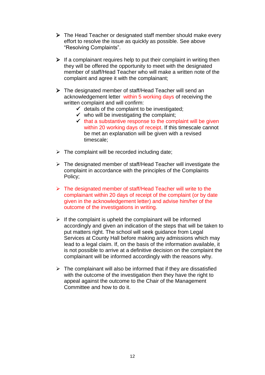- $\triangleright$  The Head Teacher or designated staff member should make every effort to resolve the issue as quickly as possible. See above "Resolving Complaints".
- $\triangleright$  If a complainant requires help to put their complaint in writing then they will be offered the opportunity to meet with the designated member of staff/Head Teacher who will make a written note of the complaint and agree it with the complainant;
- The designated member of staff/Head Teacher will send an acknowledgement letter within 5 working days of receiving the written complaint and will confirm:
	- $\checkmark$  details of the complaint to be investigated;
	- $\checkmark$  who will be investigating the complaint;
	- $\checkmark$  that a substantive response to the complaint will be given within 20 working days of receipt. If this timescale cannot be met an explanation will be given with a revised timescale;
- $\triangleright$  The complaint will be recorded including date;
- $\triangleright$  The designated member of staff/Head Teacher will investigate the complaint in accordance with the principles of the Complaints Policy;
- $\triangleright$  The designated member of staff/Head Teacher will write to the complainant within 20 days of receipt of the complaint (or by date given in the acknowledgement letter) and advise him/her of the outcome of the investigations in writing.
- $\triangleright$  If the complaint is upheld the complainant will be informed accordingly and given an indication of the steps that will be taken to put matters right. The school will seek guidance from Legal Services at County Hall before making any admissions which may lead to a legal claim. If, on the basis of the information available, it is not possible to arrive at a definitive decision on the complaint the complainant will be informed accordingly with the reasons why.
- $\triangleright$  The complainant will also be informed that if they are dissatisfied with the outcome of the investigation then they have the right to appeal against the outcome to the Chair of the Management Committee and how to do it.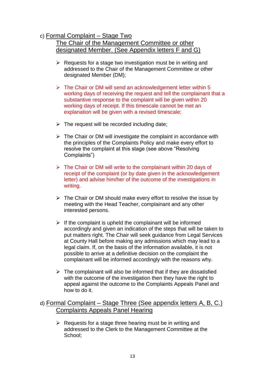# c) Formal Complaint – Stage Two

# The Chair of the Management Committee or other designated Member. (See Appendix letters F and G)

- $\triangleright$  Requests for a stage two investigation must be in writing and addressed to the Chair of the Management Committee or other designated Member (DM);
- $\triangleright$  The Chair or DM will send an acknowledgement letter within 5 working days of receiving the request and tell the complainant that a substantive response to the complaint will be given within 20 working days of receipt. If this timescale cannot be met an explanation will be given with a revised timescale;
- $\triangleright$  The request will be recorded including date;
- $\triangleright$  The Chair or DM will investigate the complaint in accordance with the principles of the Complaints Policy and make every effort to resolve the complaint at this stage (see above "Resolving Complaints")
- $\triangleright$  The Chair or DM will write to the complainant within 20 days of receipt of the complaint (or by date given in the acknowledgement letter) and advise him/her of the outcome of the investigations in writing.
- $\triangleright$  The Chair or DM should make every effort to resolve the issue by meeting with the Head Teacher, complainant and any other interested persons.
- $\triangleright$  If the complaint is upheld the complainant will be informed accordingly and given an indication of the steps that will be taken to put matters right. The Chair will seek guidance from Legal Services at County Hall before making any admissions which may lead to a legal claim. If, on the basis of the information available, it is not possible to arrive at a definitive decision on the complaint the complainant will be informed accordingly with the reasons why.
- $\triangleright$  The complainant will also be informed that if they are dissatisfied with the outcome of the investigation then they have the right to appeal against the outcome to the Complaints Appeals Panel and how to do it.

# d) Formal Complaint – Stage Three (See appendix letters A, B, C.) Complaints Appeals Panel Hearing

 $\triangleright$  Requests for a stage three hearing must be in writing and addressed to the Clerk to the Management Committee at the School;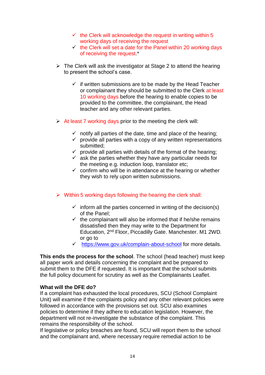- $\checkmark$  the Clerk will acknowledge the request in writing within 5 working days of receiving the request
- $\checkmark$  the Clerk will set a date for the Panel within 20 working days of receiving the request.\*
- $\triangleright$  The Clerk will ask the investigator at Stage 2 to attend the hearing to present the school's case.
	- $\checkmark$  if written submissions are to be made by the Head Teacher or complainant they should be submitted to the Clerk at least 10 working days before the hearing to enable copies to be provided to the committee, the complainant, the Head teacher and any other relevant parties.
- $\triangleright$  At least 7 working days prior to the meeting the clerk will:
	- $\checkmark$  notify all parties of the date, time and place of the hearing;
	- $\checkmark$  provide all parties with a copy of any written representations submitted;
	- $\checkmark$  provide all parties with details of the format of the hearing;
	- $\checkmark$  ask the parties whether they have any particular needs for the meeting e.g. induction loop, translator etc;
	- $\checkmark$  confirm who will be in attendance at the hearing or whether they wish to rely upon written submissions.
- $\triangleright$  Within 5 working days following the hearing the clerk shall:
	- $\checkmark$  inform all the parties concerned in writing of the decision(s) of the Panel;
	- $\checkmark$  the complainant will also be informed that if he/she remains dissatisfied then they may write to the Department for Education, 2nd Floor, Piccadilly Gate. Manchester. M1 2WD. or go to
	- $\checkmark$  <https://www.gov.uk/complain-about-school> for more details.

**This ends the process for the school**. The school (head teacher) must keep all paper work and details concerning the complaint and be prepared to submit them to the DFE if requested. It is important that the school submits the full policy document for scrutiny as well as the Complainants Leaflet.

#### **What will the DFE do?**

If a complaint has exhausted the local procedures, SCU (School Complaint Unit) will examine if the complaints policy and any other relevant policies were followed in accordance with the provisions set out. SCU also examines policies to determine if they adhere to education legislation. However, the department will not re-investigate the substance of the complaint. This remains the responsibility of the school.

If legislative or policy breaches are found, SCU will report them to the school and the complainant and, where necessary require remedial action to be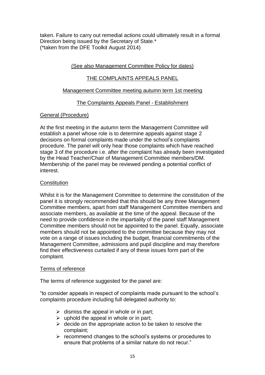taken. Failure to carry out remedial actions could ultimately result in a formal Direction being issued by the Secretary of State.\* (\*taken from the DFE Toolkit August 2014)

## (See also Management Committee Policy for dates)

## THE COMPLAINTS APPEALS PANEL

### Management Committee meeting autumn term 1st meeting

## The Complaints Appeals Panel - Establishment

## General (Procedure)

At the first meeting in the autumn term the Management Committee will establish a panel whose role is to determine appeals against stage 2 decisions on formal complaints made under the school's complaints procedure. The panel will only hear those complaints which have reached stage 3 of the procedure i.e. after the complaint has already been investigated by the Head Teacher/Chair of Management Committee members/DM. Membership of the panel may be reviewed pending a potential conflict of interest.

#### **Constitution**

Whilst it is for the Management Committee to determine the constitution of the panel it is strongly recommended that this should be any three Management Committee members, apart from staff Management Committee members and associate members, as available at the time of the appeal. Because of the need to provide confidence in the impartiality of the panel staff Management Committee members should not be appointed to the panel. Equally, associate members should not be appointed to the committee because they may not vote on a range of issues including the budget, financial commitments of the Management Committee, admissions and pupil discipline and may therefore find their effectiveness curtailed if any of these issues form part of the complaint.

#### Terms of reference

The terms of reference suggested for the panel are:

"to consider appeals in respect of complaints made pursuant to the school's complaints procedure including full delegated authority to:

- $\triangleright$  dismiss the appeal in whole or in part;
- $\triangleright$  uphold the appeal in whole or in part;
- $\triangleright$  decide on the appropriate action to be taken to resolve the complaint;
- $\triangleright$  recommend changes to the school's systems or procedures to ensure that problems of a similar nature do not recur."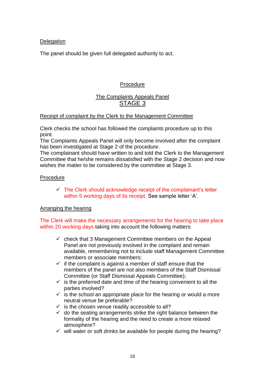#### **Delegation**

The panel should be given full delegated authority to act.

### Procedure

# The Complaints Appeals Panel STAGE 3

#### Receipt of complaint by the Clerk to the Management Committee

Clerk checks the school has followed the complaints procedure up to this point.

The Complaints Appeals Panel will only become involved after the complaint has been investigated at Stage 2 of the procedure.

The complainant should have written to and told the Clerk to the Management Committee that he/she remains dissatisfied with the Stage 2 decision and now wishes the matter to be considered by the committee at Stage 3.

#### Procedure

 $\checkmark$  The Clerk should acknowledge receipt of the complainant's letter within 5 working days of its receipt. See sample letter 'A'.

#### Arranging the hearing

The Clerk will make the necessary arrangements for the hearing to take place within 20 working days taking into account the following matters:

- $\checkmark$  check that 3 Management Committee members on the Appeal Panel are not previously involved in the complaint and remain available, remembering not to include staff Management Committee members or associate members;
- $\checkmark$  if the complaint is against a member of staff ensure that the members of the panel are not also members of the Staff Dismissal Committee (or Staff Dismissal Appeals Committee);
- $\checkmark$  is the preferred date and time of the hearing convenient to all the parties involved?
- $\checkmark$  is the school an appropriate place for the hearing or would a more neutral venue be preferable?
- $\checkmark$  is the chosen venue readily accessible to all?
- $\checkmark$  do the seating arrangements strike the right balance between the formality of the hearing and the need to create a more relaxed atmosphere?
- $\checkmark$  will water or soft drinks be available for people during the hearing?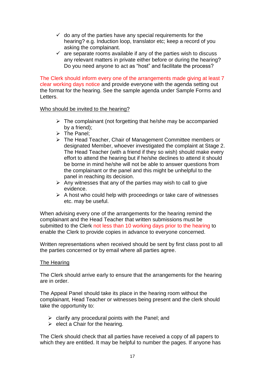- $\checkmark$  do any of the parties have any special requirements for the hearing? e.g. Induction loop, translator etc; keep a record of you asking the complainant.
- $\checkmark$  are separate rooms available if any of the parties wish to discuss any relevant matters in private either before or during the hearing? Do you need anyone to act as "host" and facilitate the process?

The Clerk should inform every one of the arrangements made giving at least 7 clear working days notice and provide everyone with the agenda setting out the format for the hearing. See the sample agenda under Sample Forms and Letters.

#### Who should be invited to the hearing?

- $\triangleright$  The complainant (not forgetting that he/she may be accompanied by a friend);
- $\triangleright$  The Panel:
- The Head Teacher, Chair of Management Committee members or designated Member, whoever investigated the complaint at Stage 2. The Head Teacher (with a friend if they so wish) should make every effort to attend the hearing but if he/she declines to attend it should be borne in mind he/she will not be able to answer questions from the complainant or the panel and this might be unhelpful to the panel in reaching its decision.
- $\triangleright$  Any witnesses that any of the parties may wish to call to give evidence.
- $\triangleright$  A host who could help with proceedings or take care of witnesses etc. may be useful.

When advising every one of the arrangements for the hearing remind the complainant and the Head Teacher that written submissions must be submitted to the Clerk not less than 10 working days prior to the hearing to enable the Clerk to provide copies in advance to everyone concerned.

Written representations when received should be sent by first class post to all the parties concerned or by email where all parties agree.

#### The Hearing

The Clerk should arrive early to ensure that the arrangements for the hearing are in order.

The Appeal Panel should take its place in the hearing room without the complainant, Head Teacher or witnesses being present and the clerk should take the opportunity to:

- $\triangleright$  clarify any procedural points with the Panel; and
- $\triangleright$  elect a Chair for the hearing.

The Clerk should check that all parties have received a copy of all papers to which they are entitled. It may be helpful to number the pages. If anyone has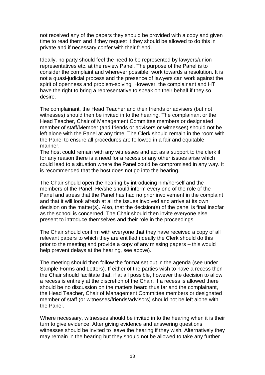not received any of the papers they should be provided with a copy and given time to read them and if they request it they should be allowed to do this in private and if necessary confer with their friend.

Ideally, no party should feel the need to be represented by lawyers/union representatives etc. at the review Panel. The purpose of the Panel is to consider the complaint and wherever possible, work towards a resolution. It is not a quasi-judicial process and the presence of lawyers can work against the spirit of openness and problem-solving. However, the complainant and HT have the right to bring a representative to speak on their behalf if they so desire.

The complainant, the Head Teacher and their friends or advisers (but not witnesses) should then be invited in to the hearing. The complainant or the Head Teacher, Chair of Management Committee members or designated member of staff/Member (and friends or advisers or witnesses) should not be left alone with the Panel at any time. The Clerk should remain in the room with the Panel to ensure all procedures are followed in a fair and equitable manner.

The host could remain with any witnesses and act as a support to the clerk if for any reason there is a need for a recess or any other issues arise which could lead to a situation where the Panel could be compromised in any way. It is recommended that the host does not go into the hearing.

The Chair should open the hearing by introducing him/herself and the members of the Panel. He/she should inform every one of the role of the Panel and stress that the Panel has had no prior involvement in the complaint and that it will look afresh at all the issues involved and arrive at its own decision on the matter(s). Also, that the decision(s) of the panel is final insofar as the school is concerned. The Chair should then invite everyone else present to introduce themselves and their role in the proceedings.

The Chair should confirm with everyone that they have received a copy of all relevant papers to which they are entitled (ideally the Clerk should do this prior to the meeting and provide a copy of any missing papers – this would help prevent delays at the hearing, see above).

The meeting should then follow the format set out in the agenda (see under Sample Forms and Letters). If either of the parties wish to have a recess then the Chair should facilitate that, if at all possible, however the decision to allow a recess is entirely at the discretion of the Chair. If a recess is allowed there should be no discussion on the matters heard thus far and the complainant, the Head Teacher, Chair of Management Committee members or designated member of staff (or witnesses/friends/advisors) should not be left alone with the Panel.

Where necessary, witnesses should be invited in to the hearing when it is their turn to give evidence. After giving evidence and answering questions witnesses should be invited to leave the hearing if they wish. Alternatively they may remain in the hearing but they should not be allowed to take any further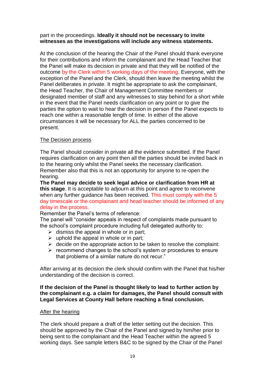#### part in the proceedings. **Ideally it should not be necessary to invite witnesses as the investigations will include any witness statements.**

At the conclusion of the hearing the Chair of the Panel should thank everyone for their contributions and inform the complainant and the Head Teacher that the Panel will make its decision in private and that they will be notified of the outcome by the Clerk within 5 working days of the meeting. Everyone, with the exception of the Panel and the Clerk, should then leave the meeting whilst the Panel deliberates in private. It might be appropriate to ask the complainant, the Head Teacher, the Chair of Management Committee members or designated member of staff and any witnesses to stay behind for a short while in the event that the Panel needs clarification on any point or to give the parties the option to wait to hear the decision in person if the Panel expects to reach one within a reasonable length of time. In either of the above circumstances it will be necessary for ALL the parties concerned to be present.

## The Decision process

The Panel should consider in private all the evidence submitted. If the Panel requires clarification on any point then all the parties should be invited back in to the hearing only whilst the Panel seeks the necessary clarification. Remember also that this is not an opportunity for anyone to re-open the hearing.

**The Panel may decide to seek legal advice or clarification from HR at this stage**. It is acceptable to adjourn at this point and agree to reconvene when any further guidance has been received. This must comply with the 5 day timescale or the complainant and head teacher should be informed of any delay in the process.

Remember the Panel's terms of reference:

The panel will "consider appeals in respect of complaints made pursuant to the school's complaint procedure including full delegated authority to:

- $\triangleright$  dismiss the appeal in whole or in part;
- $\triangleright$  uphold the appeal in whole or in part:
- $\triangleright$  decide on the appropriate action to be taken to resolve the complaint:
- $\triangleright$  recommend changes to the school's system or procedures to ensure that problems of a similar nature do not recur."

After arriving at its decision the clerk should confirm with the Panel that his/her understanding of the decision is correct.

#### **If the decision of the Panel is thought likely to lead to further action by the complainant e.g. a claim for damages, the Panel should consult with Legal Services at County Hall before reaching a final conclusion.**

#### After the hearing

The clerk should prepare a draft of the letter setting out the decision. This should be approved by the Chair of the Panel and signed by him/her prior to being sent to the complainant and the Head Teacher within the agreed 5 working days. See sample letters B&C to be signed by the Chair of the Panel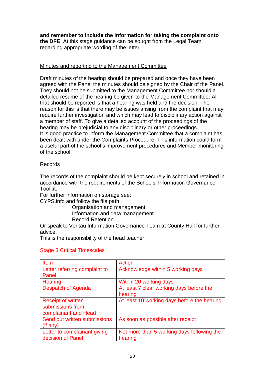## **and remember to include the information for taking the complaint onto**

**the DFE**. At this stage guidance can be sought from the Legal Team regarding appropriate wording of the letter.

#### Minutes and reporting to the Management Committee

Draft minutes of the hearing should be prepared and once they have been agreed with the Panel the minutes should be signed by the Chair of the Panel. They should not be submitted to the Management Committee nor should a detailed resume of the hearing be given to the Management Committee. All that should be reported is that a hearing was held and the decision. The reason for this is that there may be issues arising from the complaint that may require further investigation and which may lead to disciplinary action against a member of staff. To give a detailed account of the proceedings of the hearing may be prejudicial to any disciplinary or other proceedings. It is good practice to inform the Management Committee that a complaint has been dealt with under the Complaints Procedure. This information could form a useful part of the school's improvement procedures and Member monitoring of the school.

#### **Records**

The records of the complaint should be kept securely in school and retained in accordance with the requirements of the Schools' Information Governance Toolkit.

For further information on storage see:

CYPS.info and follow the file path:

Organisation and management Information and data management Record Retention

Or speak to Veritau Information Governance Team at County Hall for further advice.

This is the responsibility of the head teacher.

| <b>Item</b>                   | Action                                      |
|-------------------------------|---------------------------------------------|
| Letter referring complaint to | Acknowledge within 5 working days           |
| Panel                         |                                             |
| <b>Hearing</b>                | Within 20 working days                      |
| Despatch of Agenda            | At least 7 clear working days before the    |
|                               | hearing                                     |
| <b>Receipt of written</b>     | At least 10 working days before the hearing |
| submissions from              |                                             |
| complainant and Head          |                                             |
| Send out written submissions  | As soon as possible after receipt           |
| $($ if any $)$                |                                             |
| Letter to complainant giving  | Not more than 5 working days following the  |
| decision of Panel.            | hearing                                     |

#### Stage 3 Critical Timescales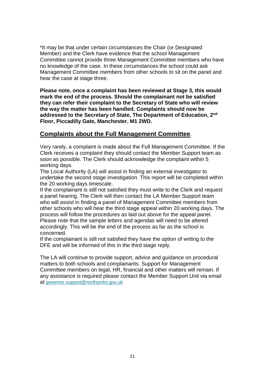\*It may be that under certain circumstances the Chair (or Designated Member) and the Clerk have evidence that the school Management Committee cannot provide three Management Committee members who have no knowledge of the case. In these circumstances the school could ask Management Committee members from other schools to sit on the panel and hear the case at stage three.

**Please note, once a complaint has been reviewed at Stage 3, this would mark the end of the process. Should the complainant not be satisfied they can refer their complaint to the Secretary of State who will review the way the matter has been handled. Complaints should now be addressed to the Secretary of State, The Department of Education, 2nd Floor, Piccadilly Gate, Manchester. M1 2WD.**

# **Complaints about the Full Management Committee**.

Very rarely, a complaint is made about the Full Management Committee. If the Clerk receives a complaint they should contact the Member Support team as soon as possible. The Clerk should acknowledge the complaint within 5 working days.

The Local Authority (LA) will assist in finding an external investigator to undertake the second stage investigation. This report will be completed within the 20 working days timescale.

If the complainant is still not satisfied they must write to the Clerk and request a panel hearing. The Clerk will then contact the LA Member Support team who will assist in finding a panel of Management Committee members from other schools who will hear the third stage appeal within 20 working days. The process will follow the procedures as laid out above for the appeal panel. Please note that the sample letters and agendas will need to be altered accordingly. This will be the end of the process as far as the school is concerned.

If the complainant is still not satisfied they have the option of writing to the DFE and will be informed of this in the third stage reply.

The LA will continue to provide support, advice and guidance on procedural matters to both schools and complainants. Support for Management Committee members on legal, HR, financial and other matters will remain. If any assistance is required please contact the Member Support Unit via email at [governor.support@northyorks.gov.uk](mailto:governor.support@northyorls.gov.uk)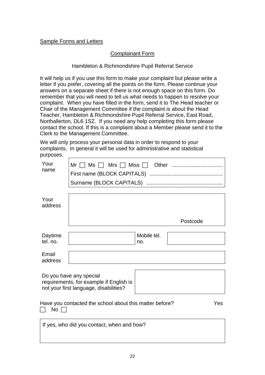#### Sample Forms and Letters

## Complainant Form

#### Hambleton & Richmondshire Pupil Referral Service

It will help us if you use this form to make your complaint but please write a letter if you prefer, covering all the points on the form. Please continue your answers on a separate sheet if there is not enough space on this form. Do remember that you will need to tell us what needs to happen to resolve your complaint. When you have filled in the form, send it to The Head teacher or Chair of the Management Committee if the complaint is about the Head Teacher, Hambleton & Richmondshire Pupil Referral Service, East Road, Northallerton, DL6 1SZ. If you need any help completing this form please contact the school. If this is a complaint about a Member please send it to the Clerk to the Management Committee.

We will only process your personal data in order to respond to your complaints. In general it will be used for administrative and statistical purposes.

| Your<br>name                                                         |                                                                                                              |                    |          |
|----------------------------------------------------------------------|--------------------------------------------------------------------------------------------------------------|--------------------|----------|
| Your<br>address                                                      |                                                                                                              |                    |          |
|                                                                      |                                                                                                              |                    | Postcode |
| Daytime<br>tel. no.                                                  |                                                                                                              | Mobile tel.<br>no. |          |
| Email<br>address                                                     |                                                                                                              |                    |          |
|                                                                      | Do you have any special<br>requirements, for example if English is<br>not your first language, disabilities? |                    |          |
| Have you contacted the school about this matter before?<br>Yes<br>No |                                                                                                              |                    |          |
|                                                                      | If yes, who did you contact, when and how?                                                                   |                    |          |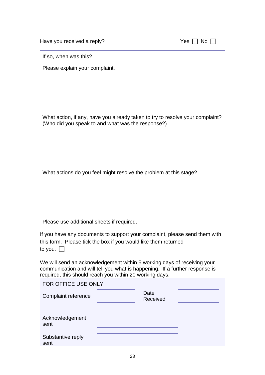| Have you received a reply?                                                                                                         | Yes $\Box$ No $\Box$ |
|------------------------------------------------------------------------------------------------------------------------------------|----------------------|
| If so, when was this?                                                                                                              |                      |
| Please explain your complaint.                                                                                                     |                      |
|                                                                                                                                    |                      |
|                                                                                                                                    |                      |
|                                                                                                                                    |                      |
| What action, if any, have you already taken to try to resolve your complaint?<br>(Who did you speak to and what was the response?) |                      |
|                                                                                                                                    |                      |
|                                                                                                                                    |                      |
| What actions do you feel might resolve the problem at this stage?                                                                  |                      |
|                                                                                                                                    |                      |
|                                                                                                                                    |                      |
|                                                                                                                                    |                      |
| Please use additional sheets if required.                                                                                          |                      |

If you have any documents to support your complaint, please send them with this form. Please tick the box if you would like them returned to you.  $\Box$ 

We will send an acknowledgement within 5 working days of receiving your communication and will tell you what is happening. If a further response is required, this should reach you within 20 working days.

| FOR OFFICE USE ONLY       |                  |  |
|---------------------------|------------------|--|
| Complaint reference       | Date<br>Received |  |
| Acknowledgement<br>sent   |                  |  |
| Substantive reply<br>sent |                  |  |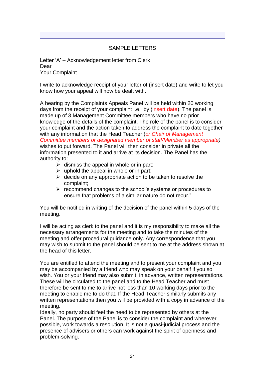## SAMPLE LETTERS

Letter 'A' – Acknowledgement letter from Clerk Dear Your Complaint

I write to acknowledge receipt of your letter of (insert date) and write to let you know how your appeal will now be dealt with.

A hearing by the Complaints Appeals Panel will be held within 20 working days from the receipt of your complaint i.e. by (insert date). The panel is made up of 3 Management Committee members who have no prior knowledge of the details of the complaint. The role of the panel is to consider your complaint and the action taken to address the complaint to date together with any information that the Head Teacher (*or Chair of Management Committee members or designated member of staff/Member as appropriate)*  wishes to put forward. The Panel will then consider in private all the information presented to it and arrive at its decision. The Panel has the authority to:

- $\triangleright$  dismiss the appeal in whole or in part;
- $\triangleright$  uphold the appeal in whole or in part;
- $\triangleright$  decide on any appropriate action to be taken to resolve the complaint;
- $\triangleright$  recommend changes to the school's systems or procedures to ensure that problems of a similar nature do not recur."

You will be notified in writing of the decision of the panel within 5 days of the meeting.

I will be acting as clerk to the panel and it is my responsibility to make all the necessary arrangements for the meeting and to take the minutes of the meeting and offer procedural guidance only. Any correspondence that you may wish to submit to the panel should be sent to me at the address shown at the head of this letter.

You are entitled to attend the meeting and to present your complaint and you may be accompanied by a friend who may speak on your behalf if you so wish. You or your friend may also submit, in advance, written representations. These will be circulated to the panel and to the Head Teacher and must therefore be sent to me to arrive not less than 10 working days prior to the meeting to enable me to do that. If the Head Teacher similarly submits any written representations then you will be provided with a copy in advance of the meeting.

Ideally, no party should feel the need to be represented by others at the Panel. The purpose of the Panel is to consider the complaint and wherever possible, work towards a resolution. It is not a quasi-judicial process and the presence of advisers or others can work against the spirit of openness and problem-solving.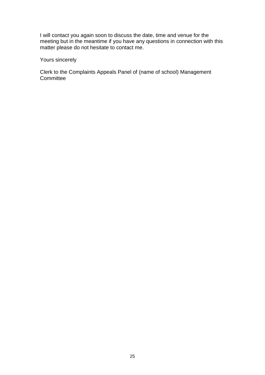I will contact you again soon to discuss the date, time and venue for the meeting but in the meantime if you have any questions in connection with this matter please do not hesitate to contact me.

## Yours sincerely

Clerk to the Complaints Appeals Panel of (name of school) Management **Committee**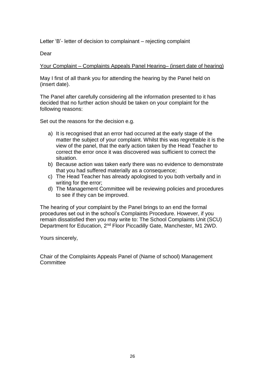Letter 'B'- letter of decision to complainant – rejecting complaint

Dear

Your Complaint – Complaints Appeals Panel Hearing– (insert date of hearing)

May I first of all thank you for attending the hearing by the Panel held on (insert date).

The Panel after carefully considering all the information presented to it has decided that no further action should be taken on your complaint for the following reasons:

Set out the reasons for the decision e.g.

- a) It is recognised that an error had occurred at the early stage of the matter the subject of your complaint. Whilst this was regrettable it is the view of the panel, that the early action taken by the Head Teacher to correct the error once it was discovered was sufficient to correct the situation.
- b) Because action was taken early there was no evidence to demonstrate that you had suffered materially as a consequence;
- c) The Head Teacher has already apologised to you both verbally and in writing for the error;
- d) The Management Committee will be reviewing policies and procedures to see if they can be improved.

The hearing of your complaint by the Panel brings to an end the formal procedures set out in the school's Complaints Procedure. However, if you remain dissatisfied then you may write to: The School Complaints Unit (SCU) Department for Education, 2nd Floor Piccadilly Gate, Manchester, M1 2WD.

Yours sincerely,

Chair of the Complaints Appeals Panel of (Name of school) Management **Committee**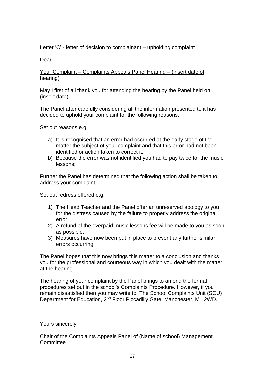Letter 'C' - letter of decision to complainant – upholding complaint

Dear

#### Your Complaint – Complaints Appeals Panel Hearing – (insert date of hearing)

May I first of all thank you for attending the hearing by the Panel held on (insert date).

The Panel after carefully considering all the information presented to it has decided to uphold your complaint for the following reasons:

Set out reasons e.g.

- a) It is recognised that an error had occurred at the early stage of the matter the subject of your complaint and that this error had not been identified or action taken to correct it;
- b) Because the error was not identified you had to pay twice for the music lessons;

Further the Panel has determined that the following action shall be taken to address your complaint:

Set out redress offered e.g.

- 1) The Head Teacher and the Panel offer an unreserved apology to you for the distress caused by the failure to properly address the original error;
- 2) A refund of the overpaid music lessons fee will be made to you as soon as possible;
- 3) Measures have now been put in place to prevent any further similar errors occurring.

The Panel hopes that this now brings this matter to a conclusion and thanks you for the professional and courteous way in which you dealt with the matter at the hearing.

The hearing of your complaint by the Panel brings to an end the formal procedures set out in the school's Complaints Procedure. However, if you remain dissatisfied then you may write to: The School Complaints Unit (SCU) Department for Education, 2nd Floor Piccadilly Gate, Manchester, M1 2WD.

#### Yours sincerely

Chair of the Complaints Appeals Panel of (Name of school) Management **Committee**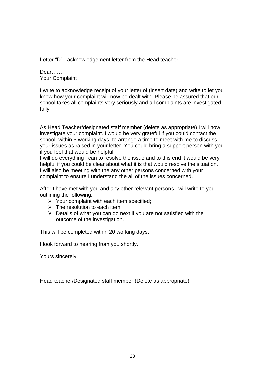Letter "D" - acknowledgement letter from the Head teacher

### Dear……. Your Complaint

I write to acknowledge receipt of your letter of (insert date) and write to let you know how your complaint will now be dealt with. Please be assured that our school takes all complaints very seriously and all complaints are investigated fully.

As Head Teacher/designated staff member (delete as appropriate) I will now investigate your complaint. I would be very grateful if you could contact the school, within 5 working days, to arrange a time to meet with me to discuss your issues as raised in your letter. You could bring a support person with you if you feel that would be helpful.

I will do everything I can to resolve the issue and to this end it would be very helpful if you could be clear about what it is that would resolve the situation. I will also be meeting with the any other persons concerned with your complaint to ensure I understand the all of the issues concerned.

After I have met with you and any other relevant persons I will write to you outlining the following:

- $\triangleright$  Your complaint with each item specified;
- $\triangleright$  The resolution to each item
- $\triangleright$  Details of what you can do next if you are not satisfied with the outcome of the investigation.

This will be completed within 20 working days.

I look forward to hearing from you shortly.

Yours sincerely,

Head teacher/Designated staff member (Delete as appropriate)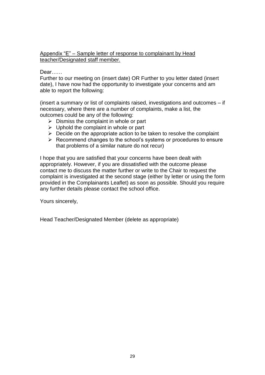#### Appendix "E" – Sample letter of response to complainant by Head teacher/Designated staff member.

Dear……

Further to our meeting on (insert date) OR Further to you letter dated (insert date), I have now had the opportunity to investigate your concerns and am able to report the following:

(insert a summary or list of complaints raised, investigations and outcomes – if necessary, where there are a number of complaints, make a list, the outcomes could be any of the following:

- $\triangleright$  Dismiss the complaint in whole or part
- $\triangleright$  Uphold the complaint in whole or part
- $\triangleright$  Decide on the appropriate action to be taken to resolve the complaint
- $\triangleright$  Recommend changes to the school's systems or procedures to ensure that problems of a similar nature do not recur)

I hope that you are satisfied that your concerns have been dealt with appropriately. However, if you are dissatisfied with the outcome please contact me to discuss the matter further or write to the Chair to request the complaint is investigated at the second stage (either by letter or using the form provided in the Complainants Leaflet) as soon as possible. Should you require any further details please contact the school office.

Yours sincerely,

Head Teacher/Designated Member (delete as appropriate)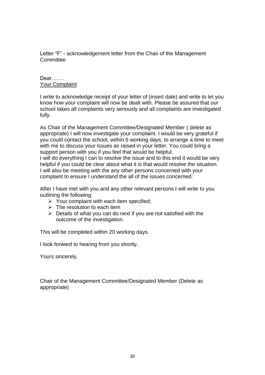Letter "F" - acknowledgement letter from the Chair of the Management **Committee** 

#### Dear……. Your Complaint

I write to acknowledge receipt of your letter of (insert date) and write to let you know how your complaint will now be dealt with. Please be assured that our school takes all complaints very seriously and all complaints are investigated fully.

As Chair of the Management Committee/Designated Member ( delete as appropriate) I will now investigate your complaint. I would be very grateful if you could contact the school, within 5 working days, to arrange a time to meet with me to discuss your issues as raised in your letter. You could bring a support person with you if you feel that would be helpful. I will do everything I can to resolve the issue and to this end it would be very helpful if you could be clear about what it is that would resolve the situation.

I will also be meeting with the any other persons concerned with your complaint to ensure I understand the all of the issues concerned.

After I have met with you and any other relevant persons I will write to you outlining the following:

- $\triangleright$  Your complaint with each item specified;
- $\triangleright$  The resolution to each item
- $\triangleright$  Details of what you can do next if you are not satisfied with the outcome of the investigation.

This will be completed within 20 working days.

I look forward to hearing from you shortly.

Yours sincerely,

Chair of the Management Committee/Designated Member (Delete as appropriate)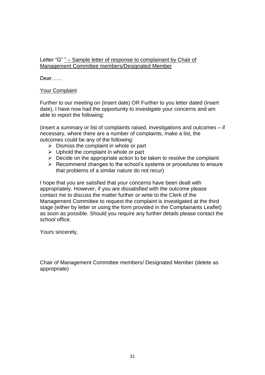### Letter "G" " – Sample letter of response to complainant by Chair of Management Committee members/Designated Member

Dear……

#### Your Complaint

Further to our meeting on (insert date) OR Further to you letter dated (insert date), I have now had the opportunity to investigate your concerns and am able to report the following:

(insert a summary or list of complaints raised, investigations and outcomes – if necessary, where there are a number of complaints, make a list, the outcomes could be any of the following:

- $\triangleright$  Dismiss the complaint in whole or part
- $\triangleright$  Uphold the complaint in whole or part
- $\triangleright$  Decide on the appropriate action to be taken to resolve the complaint
- $\triangleright$  Recommend changes to the school's systems or procedures to ensure that problems of a similar nature do not recur)

I hope that you are satisfied that your concerns have been dealt with appropriately. However, if you are dissatisfied with the outcome please contact me to discuss the matter further or write to the Clerk of the Management Committee to request the complaint is investigated at the third stage (either by letter or using the form provided in the Complainants Leaflet) as soon as possible. Should you require any further details please contact the school office.

Yours sincerely,

Chair of Management Committee members/ Designated Member (delete as appropriate)